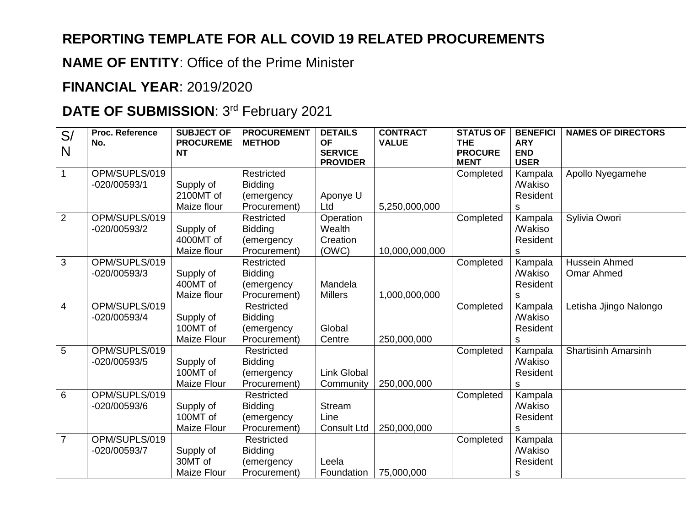## **REPORTING TEMPLATE FOR ALL COVID 19 RELATED PROCUREMENTS**

**NAME OF ENTITY**: Office of the Prime Minister

## **FINANCIAL YEAR**: 2019/2020

## **DATE OF SUBMISSION: 3rd February 2021**

| S/             | Proc. Reference | <b>SUBJECT OF</b>             | <b>PROCUREMENT</b>         | <b>DETAILS</b>              | <b>CONTRACT</b> | <b>STATUS OF</b>             | <b>BENEFICI</b>          | <b>NAMES OF DIRECTORS</b>  |
|----------------|-----------------|-------------------------------|----------------------------|-----------------------------|-----------------|------------------------------|--------------------------|----------------------------|
| N              | No.             | <b>PROCUREME</b><br><b>NT</b> | <b>METHOD</b>              | <b>OF</b><br><b>SERVICE</b> | <b>VALUE</b>    | <b>THE</b><br><b>PROCURE</b> | <b>ARY</b><br><b>END</b> |                            |
|                |                 |                               |                            | <b>PROVIDER</b>             |                 | <b>MENT</b>                  | <b>USER</b>              |                            |
|                | OPM/SUPLS/019   |                               | Restricted                 |                             |                 | Completed                    | Kampala                  | Apollo Nyegamehe           |
|                | $-020/00593/1$  | Supply of                     | <b>Bidding</b>             |                             |                 |                              | <b>Makiso</b>            |                            |
|                |                 | 2100MT of                     | (emergency                 | Aponye U                    |                 |                              | Resident                 |                            |
|                |                 | Maize flour                   | Procurement)               | Ltd                         | 5,250,000,000   |                              | s                        |                            |
| $\overline{2}$ | OPM/SUPLS/019   |                               | Restricted                 | Operation                   |                 | Completed                    | Kampala                  | Sylivia Owori              |
|                | -020/00593/2    | Supply of                     | <b>Bidding</b>             | Wealth                      |                 |                              | <b>Makiso</b>            |                            |
|                |                 | 4000MT of                     | (emergency                 | Creation                    |                 |                              | Resident                 |                            |
|                |                 | Maize flour                   | Procurement)               | (OWC)                       | 10,000,000,000  |                              | S                        |                            |
| 3              | OPM/SUPLS/019   |                               | Restricted                 |                             |                 | Completed                    | Kampala                  | Hussein Ahmed              |
|                | $-020/00593/3$  | Supply of                     | <b>Bidding</b>             |                             |                 |                              | <b>Makiso</b>            | <b>Omar Ahmed</b>          |
|                |                 | 400MT of                      | (emergency                 | Mandela                     |                 |                              | Resident                 |                            |
|                |                 | Maize flour                   | Procurement)               | <b>Millers</b>              | 1,000,000,000   |                              | s                        |                            |
| 4              | OPM/SUPLS/019   |                               | Restricted                 |                             |                 | Completed                    | Kampala                  | Letisha Jjingo Nalongo     |
|                | $-020/00593/4$  | Supply of                     | <b>Bidding</b>             |                             |                 |                              | <b>Makiso</b>            |                            |
|                |                 | 100MT of                      | (emergency                 | Global                      |                 |                              | Resident                 |                            |
|                |                 | Maize Flour                   | Procurement)               | Centre                      | 250,000,000     |                              | S                        |                            |
| 5              | OPM/SUPLS/019   |                               | Restricted                 |                             |                 | Completed                    | Kampala                  | <b>Shartisinh Amarsinh</b> |
|                | -020/00593/5    | Supply of<br>100MT of         | <b>Bidding</b>             |                             |                 |                              | <b>Makiso</b>            |                            |
|                |                 | <b>Maize Flour</b>            | (emergency<br>Procurement) | <b>Link Global</b>          | 250,000,000     |                              | Resident                 |                            |
| 6              | OPM/SUPLS/019   |                               | Restricted                 | Community                   |                 | Completed                    | S<br>Kampala             |                            |
|                | $-020/00593/6$  | Supply of                     | <b>Bidding</b>             | <b>Stream</b>               |                 |                              | <b>Makiso</b>            |                            |
|                |                 | 100MT of                      | (emergency                 | Line                        |                 |                              | Resident                 |                            |
|                |                 | <b>Maize Flour</b>            | Procurement)               | <b>Consult Ltd</b>          | 250,000,000     |                              | s                        |                            |
| $\overline{7}$ | OPM/SUPLS/019   |                               | Restricted                 |                             |                 | Completed                    | Kampala                  |                            |
|                | -020/00593/7    | Supply of                     | <b>Bidding</b>             |                             |                 |                              | <b>Makiso</b>            |                            |
|                |                 | 30MT of                       | (emergency                 | Leela                       |                 |                              | Resident                 |                            |
|                |                 |                               |                            |                             |                 |                              |                          |                            |
|                |                 | <b>Maize Flour</b>            | Procurement)               | Foundation                  | 75,000,000      |                              | $\mathsf S$              |                            |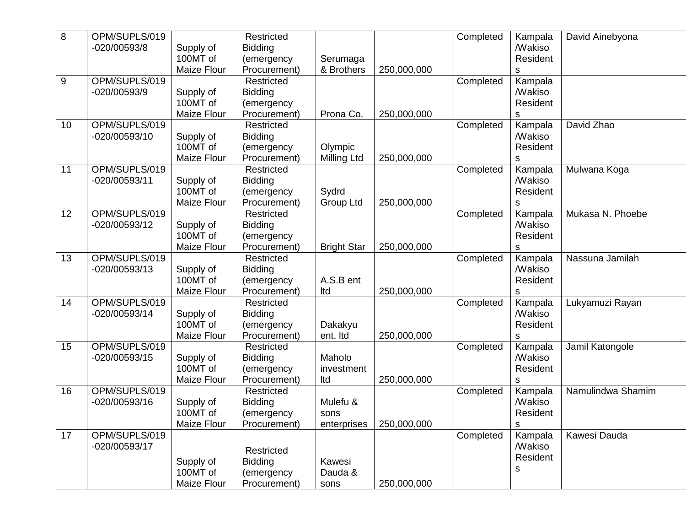| 8  | OPM/SUPLS/019 |                    | Restricted     |                    |             | Completed | Kampala              | David Ainebyona   |
|----|---------------|--------------------|----------------|--------------------|-------------|-----------|----------------------|-------------------|
|    | -020/00593/8  | Supply of          | <b>Bidding</b> |                    |             |           | <b><i>Makiso</i></b> |                   |
|    |               | 100MT of           | (emergency     | Serumaga           |             |           | Resident             |                   |
|    |               | Maize Flour        | Procurement)   | & Brothers         | 250,000,000 |           | s                    |                   |
| 9  | OPM/SUPLS/019 |                    | Restricted     |                    |             | Completed | Kampala              |                   |
|    | -020/00593/9  | Supply of          | <b>Bidding</b> |                    |             |           | <b><i>Makiso</i></b> |                   |
|    |               | 100MT of           | (emergency     |                    |             |           | Resident             |                   |
|    |               | <b>Maize Flour</b> | Procurement)   | Prona Co.          | 250,000,000 |           | s                    |                   |
| 10 | OPM/SUPLS/019 |                    | Restricted     |                    |             | Completed | Kampala              | David Zhao        |
|    | -020/00593/10 |                    |                |                    |             |           | <b><i>Makiso</i></b> |                   |
|    |               | Supply of          | <b>Bidding</b> |                    |             |           |                      |                   |
|    |               | 100MT of           | (emergency     | Olympic            |             |           | Resident             |                   |
|    |               | Maize Flour        | Procurement)   | <b>Milling Ltd</b> | 250,000,000 |           | s                    |                   |
| 11 | OPM/SUPLS/019 |                    | Restricted     |                    |             | Completed | Kampala              | Mulwana Koga      |
|    | -020/00593/11 | Supply of          | <b>Bidding</b> |                    |             |           | <b><i>Makiso</i></b> |                   |
|    |               | 100MT of           | (emergency     | Sydrd              |             |           | Resident             |                   |
|    |               | Maize Flour        | Procurement)   | Group Ltd          | 250,000,000 |           | S                    |                   |
| 12 | OPM/SUPLS/019 |                    | Restricted     |                    |             | Completed | Kampala              | Mukasa N. Phoebe  |
|    | -020/00593/12 | Supply of          | <b>Bidding</b> |                    |             |           | <b>Makiso</b>        |                   |
|    |               | 100MT of           | (emergency     |                    |             |           | Resident             |                   |
|    |               | Maize Flour        | Procurement)   | <b>Bright Star</b> | 250,000,000 |           | s                    |                   |
| 13 | OPM/SUPLS/019 |                    | Restricted     |                    |             | Completed | Kampala              | Nassuna Jamilah   |
|    | -020/00593/13 | Supply of          | <b>Bidding</b> |                    |             |           | <b><i>Makiso</i></b> |                   |
|    |               | 100MT of           | (emergency     | A.S.B ent          |             |           | Resident             |                   |
|    |               | Maize Flour        | Procurement)   | Itd                | 250,000,000 |           |                      |                   |
|    | OPM/SUPLS/019 |                    |                |                    |             |           | s                    |                   |
| 14 |               |                    | Restricted     |                    |             | Completed | Kampala              | Lukyamuzi Rayan   |
|    | -020/00593/14 | Supply of          | <b>Bidding</b> |                    |             |           | <b><i>Makiso</i></b> |                   |
|    |               | 100MT of           | (emergency     | Dakakyu            |             |           | Resident             |                   |
|    |               | Maize Flour        | Procurement)   | ent. Itd           | 250,000,000 |           | s                    |                   |
| 15 | OPM/SUPLS/019 |                    | Restricted     |                    |             | Completed | Kampala              | Jamil Katongole   |
|    | -020/00593/15 | Supply of          | <b>Bidding</b> | Maholo             |             |           | <b>Makiso</b>        |                   |
|    |               | 100MT of           | (emergency     | investment         |             |           | Resident             |                   |
|    |               | Maize Flour        | Procurement)   | Itd                | 250,000,000 |           | S                    |                   |
| 16 | OPM/SUPLS/019 |                    | Restricted     |                    |             | Completed | Kampala              | Namulindwa Shamim |
|    | -020/00593/16 | Supply of          | <b>Bidding</b> | Mulefu &           |             |           | <b>Makiso</b>        |                   |
|    |               | 100MT of           | (emergency     | sons               |             |           | Resident             |                   |
|    |               | Maize Flour        | Procurement)   | enterprises        | 250,000,000 |           | $\mathsf S$          |                   |
| 17 | OPM/SUPLS/019 |                    |                |                    |             | Completed | Kampala              | Kawesi Dauda      |
|    | -020/00593/17 |                    |                |                    |             |           | <b>Makiso</b>        |                   |
|    |               |                    | Restricted     |                    |             |           |                      |                   |
|    |               | Supply of          | <b>Bidding</b> | Kawesi             |             |           | Resident             |                   |
|    |               | 100MT of           | (emergency     | Dauda &            |             |           | s                    |                   |
|    |               | Maize Flour        | Procurement)   | sons               | 250,000,000 |           |                      |                   |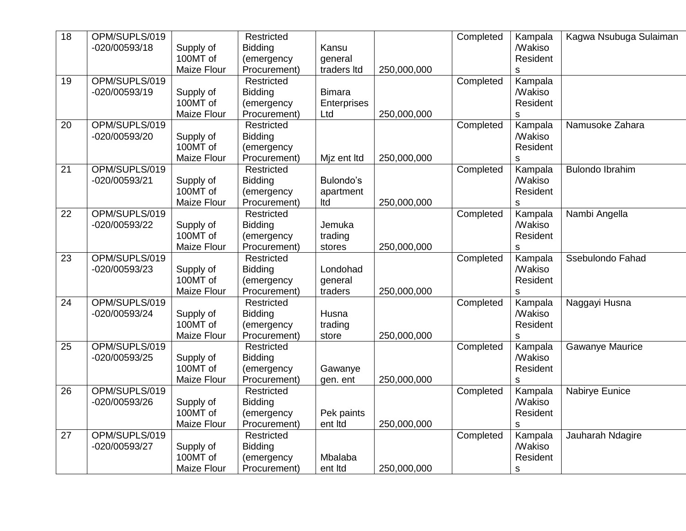| $\overline{18}$ | OPM/SUPLS/019 |                    | Restricted     |               |             | Completed | Kampala              | Kagwa Nsubuga Sulaiman |
|-----------------|---------------|--------------------|----------------|---------------|-------------|-----------|----------------------|------------------------|
|                 | -020/00593/18 | Supply of          | <b>Bidding</b> | Kansu         |             |           | <b>Makiso</b>        |                        |
|                 |               | 100MT of           | (emergency     | general       |             |           | Resident             |                        |
|                 |               | Maize Flour        | Procurement)   | traders Itd   | 250,000,000 |           | S                    |                        |
| 19              | OPM/SUPLS/019 |                    | Restricted     |               |             | Completed | Kampala              |                        |
|                 | -020/00593/19 | Supply of          | <b>Bidding</b> | <b>Bimara</b> |             |           | <b>Makiso</b>        |                        |
|                 |               | 100MT of           | (emergency     | Enterprises   |             |           | Resident             |                        |
|                 |               | <b>Maize Flour</b> | Procurement)   | Ltd           | 250,000,000 |           | S                    |                        |
| 20              | OPM/SUPLS/019 |                    | Restricted     |               |             | Completed | Kampala              | Namusoke Zahara        |
|                 | -020/00593/20 | Supply of          | <b>Bidding</b> |               |             |           | <b>Makiso</b>        |                        |
|                 |               | 100MT of           | (emergency     |               |             |           | Resident             |                        |
|                 |               | Maize Flour        | Procurement)   | Mjz ent Itd   | 250,000,000 |           | S                    |                        |
| 21              | OPM/SUPLS/019 |                    | Restricted     |               |             | Completed | Kampala              | <b>Bulondo Ibrahim</b> |
|                 | -020/00593/21 | Supply of          | Bidding        | Bulondo's     |             |           | <b>Makiso</b>        |                        |
|                 |               | 100MT of           | (emergency     | apartment     |             |           | Resident             |                        |
|                 |               | Maize Flour        | Procurement)   | Itd           | 250,000,000 |           | S                    |                        |
| 22              | OPM/SUPLS/019 |                    | Restricted     |               |             | Completed | Kampala              | Nambi Angella          |
|                 | -020/00593/22 | Supply of          | <b>Bidding</b> | Jemuka        |             |           | <b>Makiso</b>        |                        |
|                 |               | 100MT of           | (emergency     | trading       |             |           | Resident             |                        |
|                 |               | Maize Flour        | Procurement)   | stores        | 250,000,000 |           | S                    |                        |
| 23              | OPM/SUPLS/019 |                    | Restricted     |               |             | Completed | Kampala              | Ssebulondo Fahad       |
|                 | -020/00593/23 | Supply of          | Bidding        | Londohad      |             |           | <b>Makiso</b>        |                        |
|                 |               | 100MT of           | (emergency     | general       |             |           | Resident             |                        |
|                 |               | Maize Flour        | Procurement)   | traders       | 250,000,000 |           | S                    |                        |
| 24              | OPM/SUPLS/019 |                    | Restricted     |               |             | Completed | Kampala              | Naggayi Husna          |
|                 | -020/00593/24 | Supply of          | <b>Bidding</b> | Husna         |             |           | <b><i>Makiso</i></b> |                        |
|                 |               | 100MT of           | (emergency     | trading       |             |           | Resident             |                        |
|                 |               | Maize Flour        | Procurement)   | store         | 250,000,000 |           | S                    |                        |
| 25              | OPM/SUPLS/019 |                    | Restricted     |               |             | Completed | Kampala              | Gawanye Maurice        |
|                 | -020/00593/25 | Supply of          | <b>Bidding</b> |               |             |           | <b>Makiso</b>        |                        |
|                 |               | 100MT of           | (emergency     | Gawanye       |             |           | Resident             |                        |
|                 |               | Maize Flour        | Procurement)   | gen. ent      | 250,000,000 |           | S                    |                        |
| 26              | OPM/SUPLS/019 |                    | Restricted     |               |             | Completed | Kampala              | Nabirye Eunice         |
|                 | -020/00593/26 | Supply of          | <b>Bidding</b> |               |             |           | <b><i>Makiso</i></b> |                        |
|                 |               | 100MT of           | (emergency     | Pek paints    |             |           | Resident             |                        |
|                 |               | Maize Flour        | Procurement)   | ent Itd       | 250,000,000 |           | S                    |                        |
| 27              | OPM/SUPLS/019 |                    | Restricted     |               |             | Completed | Kampala              | Jauharah Ndagire       |
|                 | -020/00593/27 | Supply of          | <b>Bidding</b> |               |             |           | <b><i>Makiso</i></b> |                        |
|                 |               | 100MT of           | (emergency     | Mbalaba       |             |           | Resident             |                        |
|                 |               | Maize Flour        | Procurement)   | ent Itd       | 250,000,000 |           | S                    |                        |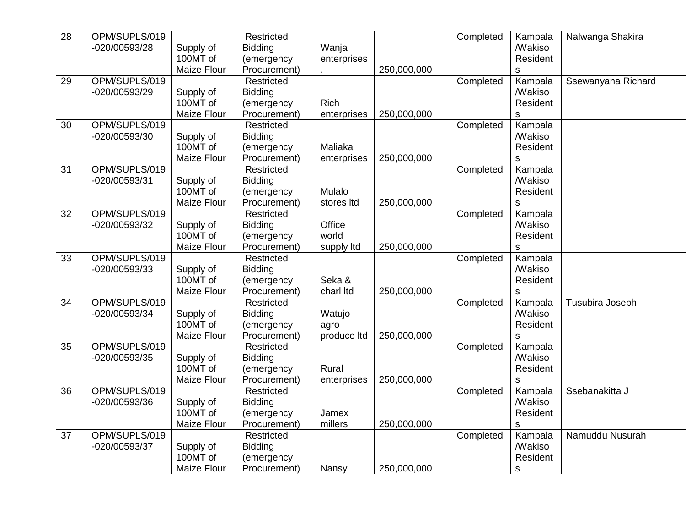| 28 | OPM/SUPLS/019 |             | Restricted     |             |             | Completed | Kampala              | Nalwanga Shakira   |
|----|---------------|-------------|----------------|-------------|-------------|-----------|----------------------|--------------------|
|    | -020/00593/28 | Supply of   | <b>Bidding</b> | Wanja       |             |           | <b><i>Makiso</i></b> |                    |
|    |               | 100MT of    | (emergency     | enterprises |             |           | Resident             |                    |
|    |               | Maize Flour | Procurement)   |             | 250,000,000 |           | s                    |                    |
| 29 | OPM/SUPLS/019 |             | Restricted     |             |             | Completed | Kampala              | Ssewanyana Richard |
|    | -020/00593/29 | Supply of   | <b>Bidding</b> |             |             |           | <b>Makiso</b>        |                    |
|    |               | 100MT of    | (emergency     | <b>Rich</b> |             |           | Resident             |                    |
|    |               | Maize Flour | Procurement)   | enterprises | 250,000,000 |           | $\mathbb S$          |                    |
| 30 | OPM/SUPLS/019 |             | Restricted     |             |             | Completed | Kampala              |                    |
|    | -020/00593/30 | Supply of   | <b>Bidding</b> |             |             |           | <b>Makiso</b>        |                    |
|    |               | 100MT of    | (emergency     | Maliaka     |             |           | Resident             |                    |
|    |               | Maize Flour | Procurement)   | enterprises | 250,000,000 |           | s                    |                    |
| 31 | OPM/SUPLS/019 |             | Restricted     |             |             | Completed | Kampala              |                    |
|    | -020/00593/31 | Supply of   | <b>Bidding</b> |             |             |           | <b>Makiso</b>        |                    |
|    |               | 100MT of    | (emergency     | Mulalo      |             |           | Resident             |                    |
|    |               | Maize Flour | Procurement)   | stores Itd  | 250,000,000 |           |                      |                    |
| 32 | OPM/SUPLS/019 |             | Restricted     |             |             |           | s                    |                    |
|    |               |             |                |             |             | Completed | Kampala              |                    |
|    | -020/00593/32 | Supply of   | <b>Bidding</b> | Office      |             |           | <b>Makiso</b>        |                    |
|    |               | 100MT of    | (emergency     | world       |             |           | Resident             |                    |
|    |               | Maize Flour | Procurement)   | supply ltd  | 250,000,000 |           | $\mathsf{s}$         |                    |
| 33 | OPM/SUPLS/019 |             | Restricted     |             |             | Completed | Kampala              |                    |
|    | -020/00593/33 | Supply of   | <b>Bidding</b> |             |             |           | <b>Makiso</b>        |                    |
|    |               | 100MT of    | (emergency     | Seka &      |             |           | Resident             |                    |
|    |               | Maize Flour | Procurement)   | charl Itd   | 250,000,000 |           | s                    |                    |
| 34 | OPM/SUPLS/019 |             | Restricted     |             |             | Completed | Kampala              | Tusubira Joseph    |
|    | -020/00593/34 | Supply of   | Bidding        | Watujo      |             |           | <b>Makiso</b>        |                    |
|    |               | 100MT of    | (emergency     | agro        |             |           | Resident             |                    |
|    |               | Maize Flour | Procurement)   | produce Itd | 250,000,000 |           | S.                   |                    |
| 35 | OPM/SUPLS/019 |             | Restricted     |             |             | Completed | Kampala              |                    |
|    | -020/00593/35 | Supply of   | <b>Bidding</b> |             |             |           | <b><i>Makiso</i></b> |                    |
|    |               | 100MT of    | (emergency     | Rural       |             |           | Resident             |                    |
|    |               | Maize Flour | Procurement)   | enterprises | 250,000,000 |           | s                    |                    |
| 36 | OPM/SUPLS/019 |             | Restricted     |             |             | Completed | Kampala              | Ssebanakitta J     |
|    | -020/00593/36 | Supply of   | Bidding        |             |             |           | <b>Makiso</b>        |                    |
|    |               | 100MT of    | (emergency     | Jamex       |             |           | Resident             |                    |
|    |               | Maize Flour | Procurement)   | millers     | 250,000,000 |           | s                    |                    |
| 37 | OPM/SUPLS/019 |             | Restricted     |             |             | Completed | Kampala              | Namuddu Nusurah    |
|    | -020/00593/37 | Supply of   | <b>Bidding</b> |             |             |           | <b>Makiso</b>        |                    |
|    |               | 100MT of    | (emergency     |             |             |           | Resident             |                    |
|    |               | Maize Flour | Procurement)   | Nansy       | 250,000,000 |           | $\mathbb S$          |                    |
|    |               |             |                |             |             |           |                      |                    |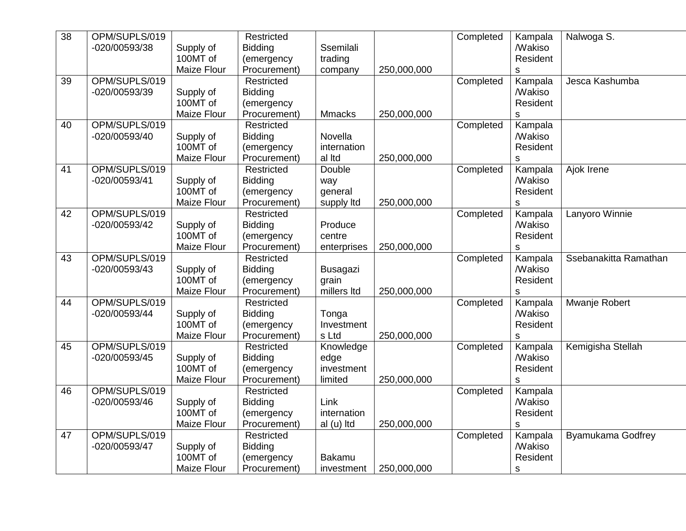| $\overline{38}$ | OPM/SUPLS/019 |                       | Restricted     |                 |             | Completed | Kampala                         | Nalwoga S.            |
|-----------------|---------------|-----------------------|----------------|-----------------|-------------|-----------|---------------------------------|-----------------------|
|                 | -020/00593/38 | Supply of             | <b>Bidding</b> | Ssemilali       |             |           | <b>Makiso</b>                   |                       |
|                 |               | 100MT of              | (emergency     | trading         |             |           | Resident                        |                       |
|                 |               | Maize Flour           | Procurement)   | company         | 250,000,000 |           | $\mathsf S$                     |                       |
| 39              | OPM/SUPLS/019 |                       | Restricted     |                 |             | Completed | Kampala                         | Jesca Kashumba        |
|                 | -020/00593/39 | Supply of             | Bidding        |                 |             |           | <b><i>Makiso</i></b>            |                       |
|                 |               | 100MT of              | (emergency     |                 |             |           | Resident                        |                       |
|                 |               | <b>Maize Flour</b>    | Procurement)   | <b>Mmacks</b>   | 250,000,000 |           | s                               |                       |
| 40              | OPM/SUPLS/019 |                       | Restricted     |                 |             | Completed | Kampala                         |                       |
|                 | -020/00593/40 | Supply of             | <b>Bidding</b> | Novella         |             |           | <b><i>Makiso</i></b>            |                       |
|                 |               | 100MT of              | (emergency     | internation     |             |           | Resident                        |                       |
|                 |               | <b>Maize Flour</b>    | Procurement)   | al Itd          | 250,000,000 |           | S                               |                       |
| 41              | OPM/SUPLS/019 |                       | Restricted     | Double          |             | Completed | Kampala                         | Ajok Irene            |
|                 | -020/00593/41 | Supply of             | <b>Bidding</b> | way             |             |           | <b>Makiso</b>                   |                       |
|                 |               | 100MT of              | (emergency     | general         |             |           | Resident                        |                       |
|                 |               | Maize Flour           | Procurement)   | supply ltd      | 250,000,000 |           |                                 |                       |
| 42              | OPM/SUPLS/019 |                       | Restricted     |                 |             | Completed | S                               | Lanyoro Winnie        |
|                 | -020/00593/42 |                       | Bidding        | Produce         |             |           | Kampala<br><b><i>Makiso</i></b> |                       |
|                 |               | Supply of<br>100MT of |                | centre          |             |           |                                 |                       |
|                 |               |                       | (emergency     |                 |             |           | Resident                        |                       |
|                 |               | Maize Flour           | Procurement)   | enterprises     | 250,000,000 |           | S                               |                       |
| 43              | OPM/SUPLS/019 |                       | Restricted     |                 |             | Completed | Kampala                         | Ssebanakitta Ramathan |
|                 | -020/00593/43 | Supply of             | <b>Bidding</b> | <b>Busagazi</b> |             |           | <b><i>Makiso</i></b>            |                       |
|                 |               | 100MT of              | (emergency     | grain           |             |           | Resident                        |                       |
|                 |               | Maize Flour           | Procurement)   | millers Itd     | 250,000,000 |           | $\mathsf S$                     |                       |
| 44              | OPM/SUPLS/019 |                       | Restricted     |                 |             | Completed | Kampala                         | Mwanje Robert         |
|                 | -020/00593/44 | Supply of             | <b>Bidding</b> | Tonga           |             |           | <b><i>Makiso</i></b>            |                       |
|                 |               | 100MT of              | (emergency     | Investment      |             |           | Resident                        |                       |
|                 |               | Maize Flour           | Procurement)   | s Ltd           | 250,000,000 |           | $\mathsf S$                     |                       |
| 45              | OPM/SUPLS/019 |                       | Restricted     | Knowledge       |             | Completed | Kampala                         | Kemigisha Stellah     |
|                 | -020/00593/45 | Supply of             | <b>Bidding</b> | edge            |             |           | <b>Makiso</b>                   |                       |
|                 |               | 100MT of              | (emergency     | investment      |             |           | Resident                        |                       |
|                 |               | Maize Flour           | Procurement)   | limited         | 250,000,000 |           | $\mathsf S$                     |                       |
| 46              | OPM/SUPLS/019 |                       | Restricted     |                 |             | Completed | Kampala                         |                       |
|                 | -020/00593/46 | Supply of             | Bidding        | Link            |             |           | <b><i>Makiso</i></b>            |                       |
|                 |               | 100MT of              | (emergency     | internation     |             |           | Resident                        |                       |
|                 |               | Maize Flour           | Procurement)   | al (u) Itd      | 250,000,000 |           | s                               |                       |
| 47              | OPM/SUPLS/019 |                       | Restricted     |                 |             | Completed | Kampala                         | Byamukama Godfrey     |
|                 | -020/00593/47 | Supply of             | <b>Bidding</b> |                 |             |           | <b><i>Makiso</i></b>            |                       |
|                 |               | 100MT of              | (emergency     | <b>Bakamu</b>   |             |           | Resident                        |                       |
|                 |               | Maize Flour           | Procurement)   | investment      | 250,000,000 |           | $\mathbb S$                     |                       |
|                 |               |                       |                |                 |             |           |                                 |                       |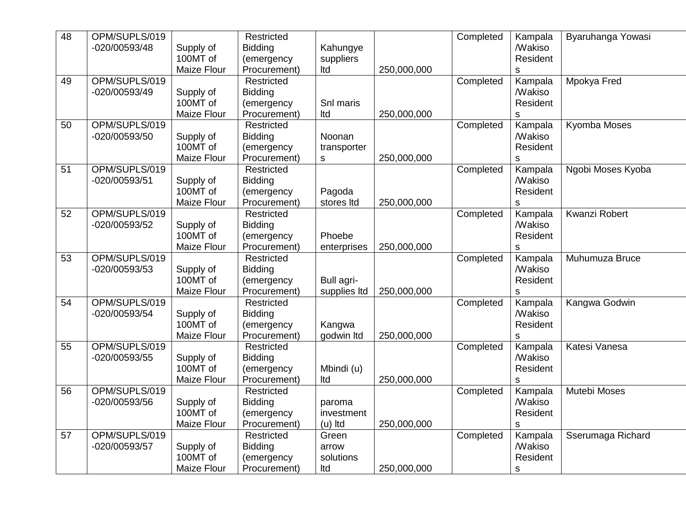| 48 | OPM/SUPLS/019 |                    | Restricted     |              |             | Completed | Kampala              | Byaruhanga Yowasi |
|----|---------------|--------------------|----------------|--------------|-------------|-----------|----------------------|-------------------|
|    | -020/00593/48 | Supply of          | <b>Bidding</b> | Kahungye     |             |           | <b><i>Makiso</i></b> |                   |
|    |               | 100MT of           | (emergency     | suppliers    |             |           | Resident             |                   |
|    |               | Maize Flour        | Procurement)   | Itd          | 250,000,000 |           | $\mathsf s$          |                   |
| 49 | OPM/SUPLS/019 |                    | Restricted     |              |             | Completed | Kampala              | Mpokya Fred       |
|    | -020/00593/49 | Supply of          | Bidding        |              |             |           | <b><i>Makiso</i></b> |                   |
|    |               | 100MT of           | (emergency     | Snl maris    |             |           | Resident             |                   |
|    |               | <b>Maize Flour</b> | Procurement)   | Itd          | 250,000,000 |           |                      |                   |
|    |               |                    |                |              |             |           | s                    |                   |
| 50 | OPM/SUPLS/019 |                    | Restricted     |              |             | Completed | Kampala              | Kyomba Moses      |
|    | -020/00593/50 | Supply of          | <b>Bidding</b> | Noonan       |             |           | <b>Makiso</b>        |                   |
|    |               | 100MT of           | (emergency     | transporter  |             |           | Resident             |                   |
|    |               | Maize Flour        | Procurement)   | s            | 250,000,000 |           | S                    |                   |
| 51 | OPM/SUPLS/019 |                    | Restricted     |              |             | Completed | Kampala              | Ngobi Moses Kyoba |
|    | -020/00593/51 | Supply of          | <b>Bidding</b> |              |             |           | <b>Makiso</b>        |                   |
|    |               | 100MT of           | (emergency     | Pagoda       |             |           | Resident             |                   |
|    |               | Maize Flour        | Procurement)   | stores Itd   | 250,000,000 |           | S                    |                   |
| 52 | OPM/SUPLS/019 |                    | Restricted     |              |             | Completed | Kampala              | Kwanzi Robert     |
|    | -020/00593/52 | Supply of          | <b>Bidding</b> |              |             |           | <b>Makiso</b>        |                   |
|    |               | 100MT of           | (emergency     | Phoebe       |             |           | Resident             |                   |
|    |               | Maize Flour        | Procurement)   | enterprises  | 250,000,000 |           | S                    |                   |
| 53 | OPM/SUPLS/019 |                    | Restricted     |              |             | Completed | Kampala              | Muhumuza Bruce    |
|    | -020/00593/53 | Supply of          | <b>Bidding</b> |              |             |           | <b><i>Makiso</i></b> |                   |
|    |               | 100MT of           | (emergency     | Bull agri-   |             |           | Resident             |                   |
|    |               | Maize Flour        | Procurement)   | supplies Itd | 250,000,000 |           |                      |                   |
| 54 | OPM/SUPLS/019 |                    | Restricted     |              |             |           | S<br>Kampala         |                   |
|    |               |                    |                |              |             | Completed |                      | Kangwa Godwin     |
|    | -020/00593/54 | Supply of          | <b>Bidding</b> |              |             |           | <b><i>Makiso</i></b> |                   |
|    |               | 100MT of           | (emergency     | Kangwa       |             |           | Resident             |                   |
|    |               | Maize Flour        | Procurement)   | godwin Itd   | 250,000,000 |           | S                    |                   |
| 55 | OPM/SUPLS/019 |                    | Restricted     |              |             | Completed | Kampala              | Katesi Vanesa     |
|    | -020/00593/55 | Supply of          | <b>Bidding</b> |              |             |           | <b><i>Makiso</i></b> |                   |
|    |               | 100MT of           | (emergency     | Mbindi (u)   |             |           | Resident             |                   |
|    |               | Maize Flour        | Procurement)   | Itd          | 250,000,000 |           | $\mathsf s$          |                   |
| 56 | OPM/SUPLS/019 |                    | Restricted     |              |             | Completed | Kampala              | Mutebi Moses      |
|    | -020/00593/56 | Supply of          | Bidding        | paroma       |             |           | <b>Makiso</b>        |                   |
|    |               | 100MT of           | (emergency     | investment   |             |           | Resident             |                   |
|    |               | Maize Flour        | Procurement)   | $(u)$ Itd    | 250,000,000 |           | S                    |                   |
| 57 | OPM/SUPLS/019 |                    | Restricted     | Green        |             | Completed | Kampala              | Sserumaga Richard |
|    | -020/00593/57 | Supply of          | <b>Bidding</b> | arrow        |             |           | <b>Makiso</b>        |                   |
|    |               | 100MT of           | (emergency     | solutions    |             |           | Resident             |                   |
|    |               | Maize Flour        | Procurement)   | Itd          | 250,000,000 |           | S                    |                   |
|    |               |                    |                |              |             |           |                      |                   |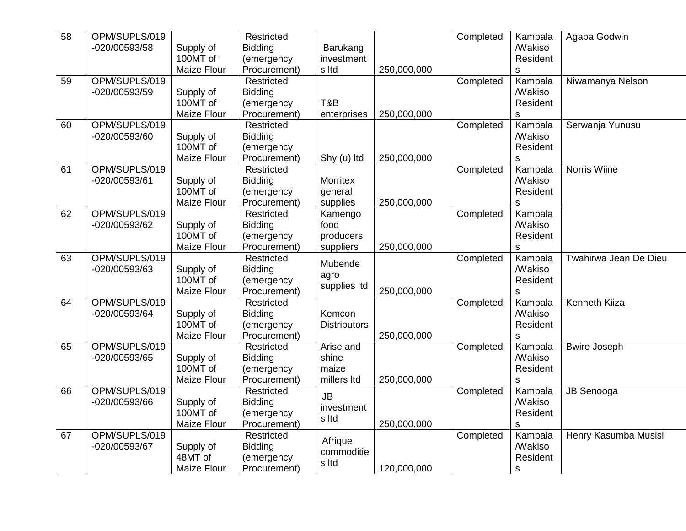| $\overline{58}$ | OPM/SUPLS/019 |                       | Restricted                 |                     |             | Completed | Kampala              | Agaba Godwin          |
|-----------------|---------------|-----------------------|----------------------------|---------------------|-------------|-----------|----------------------|-----------------------|
|                 | -020/00593/58 | Supply of             | <b>Bidding</b>             | Barukang            |             |           | <b><i>Makiso</i></b> |                       |
|                 |               | 100MT of              | (emergency                 | investment          |             |           | Resident             |                       |
|                 |               | <b>Maize Flour</b>    | Procurement)               | s Itd               | 250,000,000 |           | $\mathsf S$          |                       |
| 59              | OPM/SUPLS/019 |                       | Restricted                 |                     |             | Completed | Kampala              | Niwamanya Nelson      |
|                 | -020/00593/59 | Supply of             | <b>Bidding</b>             |                     |             |           | <b><i>Makiso</i></b> |                       |
|                 |               | 100MT of              | (emergency                 | T&B                 |             |           | Resident             |                       |
|                 |               | <b>Maize Flour</b>    | Procurement)               | enterprises         | 250,000,000 |           | $\mathbf S$          |                       |
| 60              | OPM/SUPLS/019 |                       | Restricted                 |                     |             | Completed | Kampala              | Serwanja Yunusu       |
|                 | -020/00593/60 | Supply of             | <b>Bidding</b>             |                     |             |           | <b><i>Makiso</i></b> |                       |
|                 |               | 100MT of              | (emergency                 |                     |             |           | Resident             |                       |
|                 |               | <b>Maize Flour</b>    | Procurement)               | Shy (u) Itd         | 250,000,000 |           | $\mathsf S$          |                       |
| 61              | OPM/SUPLS/019 |                       | Restricted                 |                     |             | Completed | Kampala              | <b>Norris Wiine</b>   |
|                 | -020/00593/61 | Supply of             | <b>Bidding</b>             | <b>Morritex</b>     |             |           | <b><i>Makiso</i></b> |                       |
|                 |               | 100MT of              | (emergency                 | general             |             |           | Resident             |                       |
|                 |               | Maize Flour           | Procurement)               | supplies            | 250,000,000 |           | $\mathbf S$          |                       |
| 62              | OPM/SUPLS/019 |                       | Restricted                 | Kamengo             |             | Completed | Kampala              |                       |
|                 | -020/00593/62 | Supply of             | <b>Bidding</b>             | food                |             |           | <b><i>Makiso</i></b> |                       |
|                 |               | 100MT of              | (emergency                 | producers           |             |           | Resident             |                       |
|                 |               | Maize Flour           | Procurement)               | suppliers           | 250,000,000 |           | $\mathbf S$          |                       |
| 63              | OPM/SUPLS/019 |                       | Restricted                 |                     |             | Completed | Kampala              | Twahirwa Jean De Dieu |
|                 | -020/00593/63 | Supply of             | <b>Bidding</b>             | Mubende             |             |           | <b><i>Makiso</i></b> |                       |
|                 |               | 100MT of              | (emergency                 | agro                |             |           | Resident             |                       |
|                 |               | Maize Flour           | Procurement)               | supplies Itd        | 250,000,000 |           | $\mathsf S$          |                       |
| 64              | OPM/SUPLS/019 |                       | Restricted                 |                     |             | Completed | Kampala              | Kenneth Kiiza         |
|                 | -020/00593/64 | Supply of             | <b>Bidding</b>             | Kemcon              |             |           | <b><i>Makiso</i></b> |                       |
|                 |               | 100MT of              | (emergency                 | <b>Distributors</b> |             |           | Resident             |                       |
|                 |               | Maize Flour           | Procurement)               |                     | 250,000,000 |           | $\mathsf S$          |                       |
| 65              | OPM/SUPLS/019 |                       | Restricted                 | Arise and           |             | Completed | Kampala              | <b>Bwire Joseph</b>   |
|                 | -020/00593/65 |                       | <b>Bidding</b>             | shine               |             |           | <b>Makiso</b>        |                       |
|                 |               | Supply of<br>100MT of |                            |                     |             |           |                      |                       |
|                 |               |                       | (emergency                 | maize               |             |           | Resident             |                       |
| 66              | OPM/SUPLS/019 | Maize Flour           | Procurement)<br>Restricted | millers ltd         | 250,000,000 |           | $\mathsf S$          |                       |
|                 |               |                       |                            | <b>JB</b>           |             | Completed | Kampala              | JB Senooga            |
|                 | -020/00593/66 | Supply of             | <b>Bidding</b>             | investment          |             |           | <b><i>Makiso</i></b> |                       |
|                 |               | 100MT of              | (emergency                 | s Itd               |             |           | Resident             |                       |
|                 |               | Maize Flour           | Procurement)               |                     | 250,000,000 |           | $\mathsf S$          |                       |
| 67              | OPM/SUPLS/019 |                       | Restricted                 | Afrique             |             | Completed | Kampala              | Henry Kasumba Musisi  |
|                 | -020/00593/67 | Supply of             | <b>Bidding</b>             | commoditie          |             |           | <b><i>Makiso</i></b> |                       |
|                 |               | 48MT of               | (emergency                 | s Itd               |             |           | Resident             |                       |
|                 |               | <b>Maize Flour</b>    | Procurement)               |                     | 120,000,000 |           | $\mathsf S$          |                       |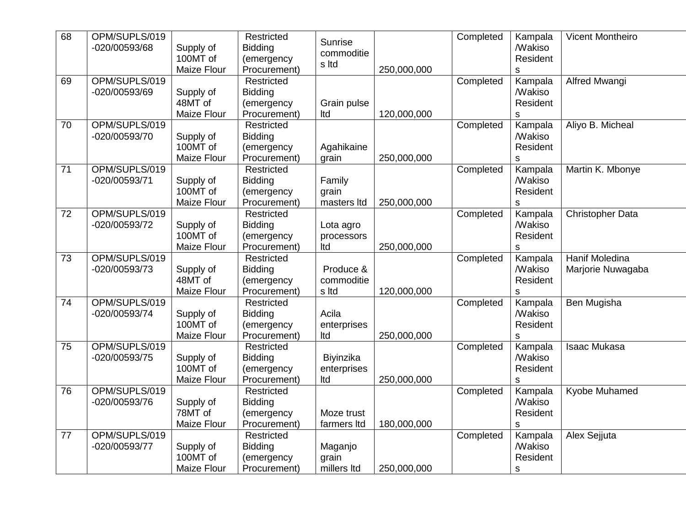| 68 | OPM/SUPLS/019 |                    | Restricted     | Sunrise          |             | Completed | Kampala              | <b>Vicent Montheiro</b> |
|----|---------------|--------------------|----------------|------------------|-------------|-----------|----------------------|-------------------------|
|    | -020/00593/68 | Supply of          | <b>Bidding</b> | commoditie       |             |           | <b><i>Makiso</i></b> |                         |
|    |               | 100MT of           | (emergency     | s Itd            |             |           | Resident             |                         |
|    |               | Maize Flour        | Procurement)   |                  | 250,000,000 |           | $\mathsf S$          |                         |
| 69 | OPM/SUPLS/019 |                    | Restricted     |                  |             | Completed | Kampala              | Alfred Mwangi           |
|    | -020/00593/69 | Supply of          | <b>Bidding</b> |                  |             |           | <b>Wakiso</b>        |                         |
|    |               | 48MT of            | (emergency     | Grain pulse      |             |           | Resident             |                         |
|    |               | <b>Maize Flour</b> | Procurement)   | Itd              | 120,000,000 |           | s                    |                         |
| 70 | OPM/SUPLS/019 |                    | Restricted     |                  |             | Completed | Kampala              | Aliyo B. Micheal        |
|    | -020/00593/70 | Supply of          | <b>Bidding</b> |                  |             |           | <b>Makiso</b>        |                         |
|    |               | 100MT of           | (emergency     | Agahikaine       |             |           | Resident             |                         |
|    |               | Maize Flour        | Procurement)   | grain            | 250,000,000 |           | S                    |                         |
| 71 | OPM/SUPLS/019 |                    | Restricted     |                  |             | Completed | Kampala              | Martin K. Mbonye        |
|    | -020/00593/71 | Supply of          | <b>Bidding</b> | Family           |             |           | <b>Makiso</b>        |                         |
|    |               | 100MT of           | (emergency     | grain            |             |           | Resident             |                         |
|    |               | Maize Flour        | Procurement)   | masters Itd      | 250,000,000 |           | s                    |                         |
| 72 | OPM/SUPLS/019 |                    | Restricted     |                  |             | Completed | Kampala              | <b>Christopher Data</b> |
|    | -020/00593/72 | Supply of          | <b>Bidding</b> | Lota agro        |             |           | <b><i>Makiso</i></b> |                         |
|    |               | 100MT of           | (emergency     | processors       |             |           | Resident             |                         |
|    |               | Maize Flour        | Procurement)   | Itd              | 250,000,000 |           | s                    |                         |
| 73 | OPM/SUPLS/019 |                    | Restricted     |                  |             | Completed | Kampala              | <b>Hanif Moledina</b>   |
|    | -020/00593/73 | Supply of          | <b>Bidding</b> | Produce &        |             |           | <b>Makiso</b>        | Marjorie Nuwagaba       |
|    |               | 48MT of            | (emergency     | commoditie       |             |           | Resident             |                         |
|    |               | <b>Maize Flour</b> | Procurement)   | s Itd            | 120,000,000 |           | s                    |                         |
| 74 | OPM/SUPLS/019 |                    | Restricted     |                  |             | Completed | Kampala              | Ben Mugisha             |
|    | -020/00593/74 | Supply of          | Bidding        | Acila            |             |           | <b>Makiso</b>        |                         |
|    |               | 100MT of           | (emergency     | enterprises      |             |           | Resident             |                         |
|    |               | Maize Flour        | Procurement)   | Itd              | 250,000,000 |           | S                    |                         |
| 75 | OPM/SUPLS/019 |                    | Restricted     |                  |             | Completed | Kampala              | <b>Isaac Mukasa</b>     |
|    | -020/00593/75 | Supply of          | Bidding        | <b>Biyinzika</b> |             |           | <b>Makiso</b>        |                         |
|    |               | 100MT of           | (emergency     | enterprises      |             |           | Resident             |                         |
|    |               | Maize Flour        | Procurement)   | Itd              | 250,000,000 |           | S                    |                         |
| 76 | OPM/SUPLS/019 |                    | Restricted     |                  |             | Completed | Kampala              | Kyobe Muhamed           |
|    | -020/00593/76 | Supply of          | Bidding        |                  |             |           | <b><i>Makiso</i></b> |                         |
|    |               | 78MT of            | (emergency     | Moze trust       |             |           | Resident             |                         |
|    |               | Maize Flour        | Procurement)   | farmers Itd      | 180,000,000 |           | s                    |                         |
| 77 | OPM/SUPLS/019 |                    | Restricted     |                  |             | Completed | Kampala              | Alex Sejjuta            |
|    | -020/00593/77 | Supply of          | <b>Bidding</b> | Maganjo          |             |           | <b>Makiso</b>        |                         |
|    |               | 100MT of           | (emergency     | grain            |             |           | Resident             |                         |
|    |               | Maize Flour        | Procurement)   | millers Itd      | 250,000,000 |           | $\mathsf S$          |                         |
|    |               |                    |                |                  |             |           |                      |                         |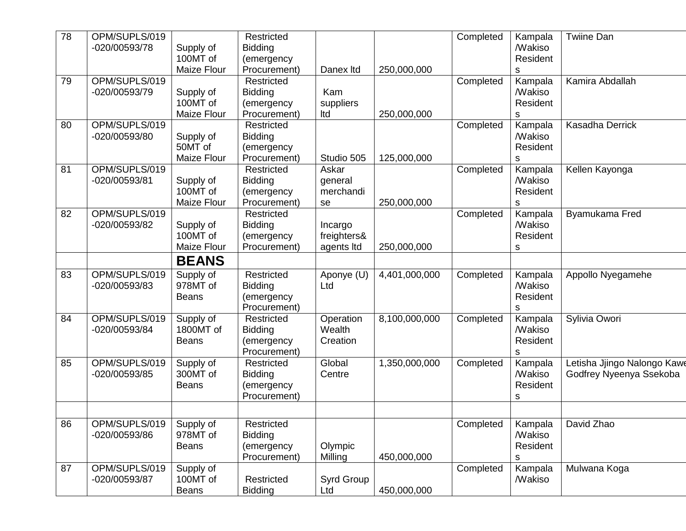| 78 | OPM/SUPLS/019<br>-020/00593/78 | Supply of              | Restricted<br><b>Bidding</b> |                     |               | Completed | Kampala<br><b>Makiso</b>         | Twiine Dan                  |
|----|--------------------------------|------------------------|------------------------------|---------------------|---------------|-----------|----------------------------------|-----------------------------|
|    |                                | 100MT of               | (emergency                   |                     |               |           | Resident                         |                             |
|    |                                | Maize Flour            | Procurement)                 | Danex Itd           | 250,000,000   |           | S                                |                             |
| 79 | OPM/SUPLS/019                  |                        | Restricted                   |                     |               | Completed | Kampala                          | Kamira Abdallah             |
|    | -020/00593/79                  | Supply of              | <b>Bidding</b>               | Kam                 |               |           | <b><i>Makiso</i></b>             |                             |
|    |                                | 100MT of               | (emergency                   | suppliers           |               |           | Resident                         |                             |
|    |                                | Maize Flour            | Procurement)                 | Itd                 | 250,000,000   |           | s                                |                             |
| 80 | OPM/SUPLS/019                  |                        | Restricted                   |                     |               | Completed | Kampala                          | Kasadha Derrick             |
|    | -020/00593/80                  | Supply of<br>50MT of   | <b>Bidding</b>               |                     |               |           | <b><i>Makiso</i></b><br>Resident |                             |
|    |                                | Maize Flour            | (emergency<br>Procurement)   | Studio 505          | 125,000,000   |           | S                                |                             |
| 81 | OPM/SUPLS/019                  |                        | Restricted                   | Askar               |               | Completed | Kampala                          | Kellen Kayonga              |
|    | -020/00593/81                  | Supply of              | <b>Bidding</b>               | general             |               |           | <b><i>Makiso</i></b>             |                             |
|    |                                | 100MT of               | (emergency                   | merchandi           |               |           | Resident                         |                             |
|    |                                | Maize Flour            | Procurement)                 | se                  | 250,000,000   |           | s                                |                             |
| 82 | OPM/SUPLS/019                  |                        | Restricted                   |                     |               | Completed | Kampala                          | Byamukama Fred              |
|    | -020/00593/82                  | Supply of              | <b>Bidding</b>               | Incargo             |               |           | <b>Makiso</b>                    |                             |
|    |                                | 100MT of               | (emergency                   | freighters&         |               |           | Resident                         |                             |
|    |                                | <b>Maize Flour</b>     | Procurement)                 | agents Itd          | 250,000,000   |           | s                                |                             |
|    |                                | <b>BEANS</b>           |                              |                     |               |           |                                  |                             |
| 83 | OPM/SUPLS/019                  | Supply of              | Restricted                   | Aponye (U)          | 4,401,000,000 | Completed | Kampala                          | Appollo Nyegamehe           |
|    | -020/00593/83                  | 978MT of               | <b>Bidding</b>               | Ltd                 |               |           | <b>Makiso</b>                    |                             |
|    |                                | <b>Beans</b>           | (emergency                   |                     |               |           | Resident                         |                             |
| 84 | OPM/SUPLS/019                  |                        | Procurement)<br>Restricted   |                     | 8,100,000,000 |           | S                                |                             |
|    | -020/00593/84                  | Supply of<br>1800MT of | <b>Bidding</b>               | Operation<br>Wealth |               | Completed | Kampala<br><b>Makiso</b>         | Sylivia Owori               |
|    |                                | <b>Beans</b>           | (emergency                   | Creation            |               |           | Resident                         |                             |
|    |                                |                        | Procurement)                 |                     |               |           | s                                |                             |
| 85 | OPM/SUPLS/019                  | Supply of              | Restricted                   | Global              | 1,350,000,000 | Completed | Kampala                          | Letisha Jjingo Nalongo Kawe |
|    | -020/00593/85                  | 300MT of               | <b>Bidding</b>               | Centre              |               |           | <b>Makiso</b>                    | Godfrey Nyeenya Ssekoba     |
|    |                                | <b>Beans</b>           | (emergency                   |                     |               |           | Resident                         |                             |
|    |                                |                        | Procurement)                 |                     |               |           | s                                |                             |
|    |                                |                        |                              |                     |               |           |                                  |                             |
| 86 | OPM/SUPLS/019                  | Supply of              | Restricted                   |                     |               | Completed | Kampala                          | David Zhao                  |
|    | -020/00593/86                  | 978MT of               | <b>Bidding</b>               |                     |               |           | <b><i>Makiso</i></b>             |                             |
|    |                                | <b>Beans</b>           | (emergency                   | Olympic             |               |           | Resident                         |                             |
|    |                                |                        | Procurement)                 | Milling             | 450,000,000   |           | s                                |                             |
| 87 | OPM/SUPLS/019                  | Supply of              |                              |                     |               | Completed | Kampala                          | Mulwana Koga                |
|    | -020/00593/87                  | 100MT of               | Restricted                   | Syrd Group          |               |           | <b><i>Makiso</i></b>             |                             |
|    |                                | <b>Beans</b>           | <b>Bidding</b>               | Ltd                 | 450,000,000   |           |                                  |                             |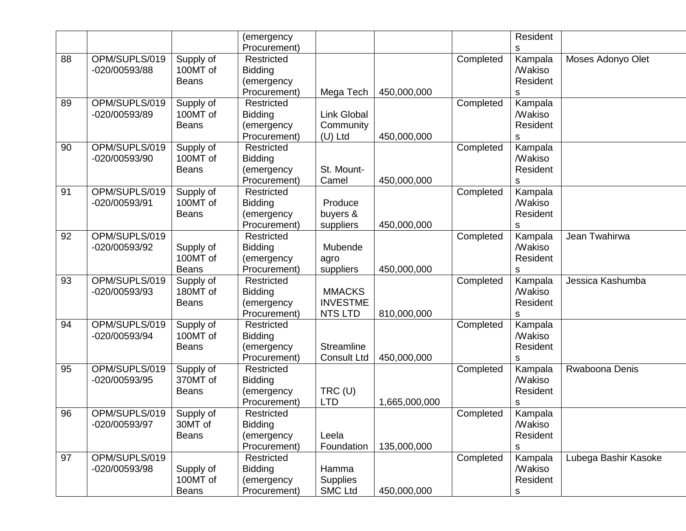|    |                                |                                       | (emergency<br>Procurement)                                 |                                                    |               |           | Resident<br>s                                            |                      |
|----|--------------------------------|---------------------------------------|------------------------------------------------------------|----------------------------------------------------|---------------|-----------|----------------------------------------------------------|----------------------|
| 88 | OPM/SUPLS/019<br>-020/00593/88 | Supply of<br>100MT of<br><b>Beans</b> | Restricted<br><b>Bidding</b><br>(emergency<br>Procurement) | Mega Tech                                          | 450,000,000   | Completed | Kampala<br><b><i>Makiso</i></b><br>Resident<br>s         | Moses Adonyo Olet    |
| 89 | OPM/SUPLS/019<br>-020/00593/89 | Supply of<br>100MT of<br><b>Beans</b> | Restricted<br><b>Bidding</b><br>(emergency<br>Procurement) | Link Global<br>Community<br>$(U)$ Ltd              | 450,000,000   | Completed | Kampala<br><b>Makiso</b><br>Resident<br>s                |                      |
| 90 | OPM/SUPLS/019<br>-020/00593/90 | Supply of<br>100MT of<br><b>Beans</b> | Restricted<br><b>Bidding</b><br>(emergency<br>Procurement) | St. Mount-<br>Camel                                | 450,000,000   | Completed | Kampala<br><b>Makiso</b><br>Resident<br>s                |                      |
| 91 | OPM/SUPLS/019<br>-020/00593/91 | Supply of<br>100MT of<br><b>Beans</b> | Restricted<br>Bidding<br>(emergency<br>Procurement)        | Produce<br>buyers &<br>suppliers                   | 450,000,000   | Completed | Kampala<br><b>Makiso</b><br>Resident<br>S                |                      |
| 92 | OPM/SUPLS/019<br>-020/00593/92 | Supply of<br>100MT of<br><b>Beans</b> | Restricted<br><b>Bidding</b><br>(emergency<br>Procurement) | Mubende<br>agro<br>suppliers                       | 450,000,000   | Completed | Kampala<br><b><i>Makiso</i></b><br>Resident<br>s         | Jean Twahirwa        |
| 93 | OPM/SUPLS/019<br>-020/00593/93 | Supply of<br>180MT of<br><b>Beans</b> | Restricted<br><b>Bidding</b><br>(emergency<br>Procurement) | <b>MMACKS</b><br><b>INVESTME</b><br><b>NTS LTD</b> | 810,000,000   | Completed | Kampala<br><b>Makiso</b><br>Resident<br>S                | Jessica Kashumba     |
| 94 | OPM/SUPLS/019<br>-020/00593/94 | Supply of<br>100MT of<br><b>Beans</b> | Restricted<br><b>Bidding</b><br>(emergency<br>Procurement) | Streamline<br><b>Consult Ltd</b>                   | 450,000,000   | Completed | Kampala<br><b>Makiso</b><br>Resident<br>s                |                      |
| 95 | OPM/SUPLS/019<br>-020/00593/95 | Supply of<br>370MT of<br><b>Beans</b> | Restricted<br><b>Bidding</b><br>(emergency<br>Procurement) | $TRC$ (U)<br><b>LTD</b>                            | 1,665,000,000 | Completed | Kampala<br><b>Makiso</b><br>Resident<br>s                | Rwaboona Denis       |
| 96 | OPM/SUPLS/019<br>-020/00593/97 | Supply of<br>30MT of<br><b>Beans</b>  | Restricted<br><b>Bidding</b><br>(emergency<br>Procurement) | Leela<br>Foundation                                | 135,000,000   | Completed | Kampala<br><b>Makiso</b><br>Resident<br>s                |                      |
| 97 | OPM/SUPLS/019<br>-020/00593/98 | Supply of<br>100MT of<br><b>Beans</b> | Restricted<br><b>Bidding</b><br>(emergency<br>Procurement) | Hamma<br><b>Supplies</b><br><b>SMC Ltd</b>         | 450,000,000   | Completed | Kampala<br><b><i>Makiso</i></b><br>Resident<br>${\sf S}$ | Lubega Bashir Kasoke |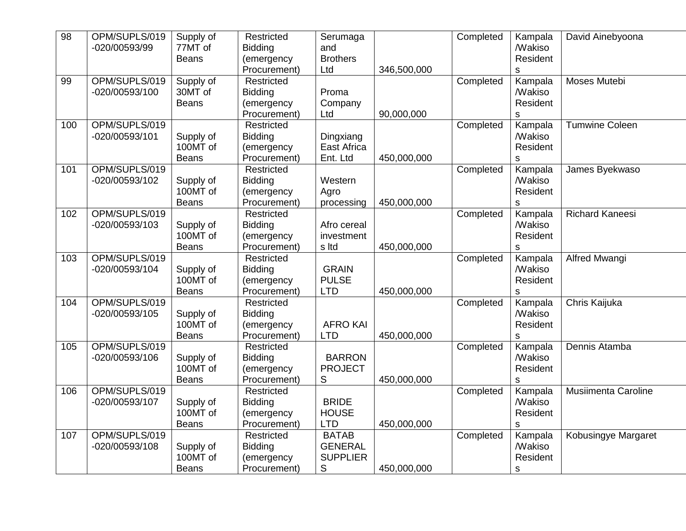| $\overline{98}$ | OPM/SUPLS/019<br>-020/00593/99  | Supply of<br>77MT of<br><b>Beans</b>  | Restricted<br><b>Bidding</b><br>(emergency<br>Procurement) | Serumaga<br>and<br><b>Brothers</b><br>Ltd              | 346,500,000 | Completed | Kampala<br><b>Makiso</b><br>Resident<br>S                   | David Ainebyoona           |
|-----------------|---------------------------------|---------------------------------------|------------------------------------------------------------|--------------------------------------------------------|-------------|-----------|-------------------------------------------------------------|----------------------------|
| 99              | OPM/SUPLS/019<br>-020/00593/100 | Supply of<br>30MT of<br><b>Beans</b>  | Restricted<br><b>Bidding</b><br>(emergency<br>Procurement) | Proma<br>Company<br>Ltd                                | 90,000,000  | Completed | Kampala<br><b>Makiso</b><br>Resident<br>S                   | Moses Mutebi               |
| 100             | OPM/SUPLS/019<br>-020/00593/101 | Supply of<br>100MT of<br><b>Beans</b> | Restricted<br><b>Bidding</b><br>(emergency<br>Procurement) | Dingxiang<br>East Africa<br>Ent. Ltd                   | 450,000,000 | Completed | Kampala<br><b>Makiso</b><br>Resident<br>S                   | <b>Tumwine Coleen</b>      |
| 101             | OPM/SUPLS/019<br>-020/00593/102 | Supply of<br>100MT of<br><b>Beans</b> | Restricted<br><b>Bidding</b><br>(emergency<br>Procurement) | Western<br>Agro<br>processing                          | 450,000,000 | Completed | Kampala<br><b>Makiso</b><br>Resident<br>$\mathsf S$         | James Byekwaso             |
| 102             | OPM/SUPLS/019<br>-020/00593/103 | Supply of<br>100MT of<br><b>Beans</b> | Restricted<br><b>Bidding</b><br>(emergency<br>Procurement) | Afro cereal<br>investment<br>s Itd                     | 450,000,000 | Completed | Kampala<br><b><i>Makiso</i></b><br>Resident<br>$\mathsf{s}$ | <b>Richard Kaneesi</b>     |
| 103             | OPM/SUPLS/019<br>-020/00593/104 | Supply of<br>100MT of<br><b>Beans</b> | Restricted<br><b>Bidding</b><br>(emergency<br>Procurement) | <b>GRAIN</b><br><b>PULSE</b><br><b>LTD</b>             | 450,000,000 | Completed | Kampala<br><b>Makiso</b><br>Resident<br>$\mathsf{s}$        | Alfred Mwangi              |
| 104             | OPM/SUPLS/019<br>-020/00593/105 | Supply of<br>100MT of<br><b>Beans</b> | Restricted<br><b>Bidding</b><br>(emergency<br>Procurement) | <b>AFRO KAI</b><br><b>LTD</b>                          | 450,000,000 | Completed | Kampala<br><b>Makiso</b><br>Resident<br>S                   | Chris Kaijuka              |
| 105             | OPM/SUPLS/019<br>-020/00593/106 | Supply of<br>100MT of<br><b>Beans</b> | Restricted<br><b>Bidding</b><br>(emergency<br>Procurement) | <b>BARRON</b><br><b>PROJECT</b><br>S                   | 450,000,000 | Completed | Kampala<br><b>Makiso</b><br>Resident<br>$\mathsf S$         | Dennis Atamba              |
| 106             | OPM/SUPLS/019<br>-020/00593/107 | Supply of<br>100MT of<br><b>Beans</b> | Restricted<br><b>Bidding</b><br>(emergency<br>Procurement) | <b>BRIDE</b><br><b>HOUSE</b><br><b>LTD</b>             | 450,000,000 | Completed | Kampala<br><b><i>Makiso</i></b><br>Resident<br>$\mathsf{s}$ | <b>Musiimenta Caroline</b> |
| 107             | OPM/SUPLS/019<br>-020/00593/108 | Supply of<br>100MT of<br>Beans        | Restricted<br><b>Bidding</b><br>(emergency<br>Procurement) | <b>BATAB</b><br><b>GENERAL</b><br><b>SUPPLIER</b><br>S | 450,000,000 | Completed | Kampala<br><b>Makiso</b><br>Resident<br>S                   | Kobusingye Margaret        |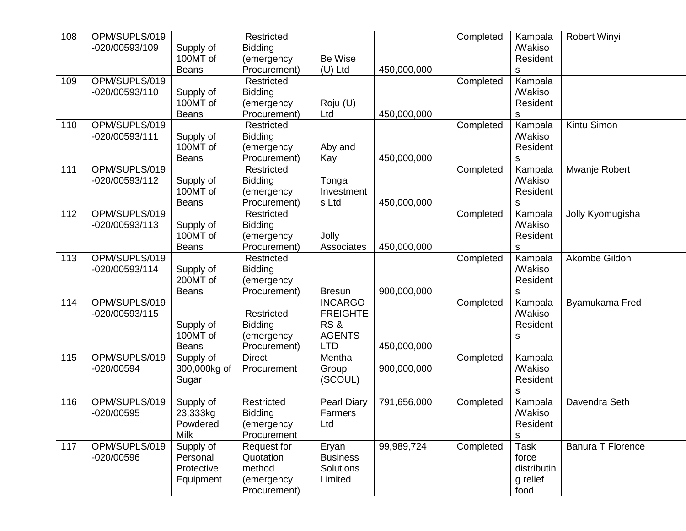| 108 | OPM/SUPLS/019  |              | Restricted     |                    |             | Completed | Kampala              | <b>Robert Winyi</b>      |
|-----|----------------|--------------|----------------|--------------------|-------------|-----------|----------------------|--------------------------|
|     | -020/00593/109 | Supply of    | <b>Bidding</b> |                    |             |           | <b><i>Makiso</i></b> |                          |
|     |                | 100MT of     | (emergency     | Be Wise            |             |           | Resident             |                          |
|     |                | <b>Beans</b> | Procurement)   | $(U)$ Ltd          | 450,000,000 |           | s                    |                          |
| 109 | OPM/SUPLS/019  |              | Restricted     |                    |             | Completed | Kampala              |                          |
|     | -020/00593/110 | Supply of    | <b>Bidding</b> |                    |             |           | <b>Makiso</b>        |                          |
|     |                | 100MT of     | (emergency     | Roju (U)           |             |           | Resident             |                          |
|     |                | <b>Beans</b> | Procurement)   | Ltd                | 450,000,000 |           | s                    |                          |
| 110 | OPM/SUPLS/019  |              | Restricted     |                    |             | Completed | Kampala              | Kintu Simon              |
|     | -020/00593/111 | Supply of    | <b>Bidding</b> |                    |             |           | <b><i>Makiso</i></b> |                          |
|     |                | 100MT of     | (emergency     | Aby and            |             |           | Resident             |                          |
|     |                | <b>Beans</b> | Procurement)   | Kay                | 450,000,000 |           | s                    |                          |
| 111 | OPM/SUPLS/019  |              | Restricted     |                    |             | Completed | Kampala              | Mwanje Robert            |
|     | -020/00593/112 | Supply of    | <b>Bidding</b> | Tonga              |             |           | <b><i>Makiso</i></b> |                          |
|     |                | 100MT of     | (emergency     | Investment         |             |           | Resident             |                          |
|     |                | <b>Beans</b> | Procurement)   | s Ltd              | 450,000,000 |           | S                    |                          |
| 112 | OPM/SUPLS/019  |              | Restricted     |                    |             | Completed | Kampala              | Jolly Kyomugisha         |
|     | -020/00593/113 | Supply of    | <b>Bidding</b> |                    |             |           | <b><i>Makiso</i></b> |                          |
|     |                | 100MT of     | (emergency     | Jolly              |             |           | Resident             |                          |
|     |                | <b>Beans</b> | Procurement)   | Associates         | 450,000,000 |           | s                    |                          |
| 113 | OPM/SUPLS/019  |              | Restricted     |                    |             | Completed | Kampala              | Akombe Gildon            |
|     | -020/00593/114 | Supply of    | <b>Bidding</b> |                    |             |           | <b><i>Makiso</i></b> |                          |
|     |                | 200MT of     | (emergency     |                    |             |           | Resident             |                          |
|     |                | <b>Beans</b> | Procurement)   | <b>Bresun</b>      | 900,000,000 |           | s                    |                          |
| 114 | OPM/SUPLS/019  |              |                | <b>INCARGO</b>     |             | Completed | Kampala              | Byamukama Fred           |
|     | -020/00593/115 |              | Restricted     | <b>FREIGHTE</b>    |             |           | <b>Makiso</b>        |                          |
|     |                | Supply of    | <b>Bidding</b> | RS&                |             |           | Resident             |                          |
|     |                | 100MT of     | (emergency     | <b>AGENTS</b>      |             |           | s                    |                          |
|     |                | <b>Beans</b> | Procurement)   | <b>LTD</b>         | 450,000,000 |           |                      |                          |
| 115 | OPM/SUPLS/019  | Supply of    | <b>Direct</b>  | Mentha             |             | Completed | Kampala              |                          |
|     | $-020/00594$   | 300,000kg of | Procurement    | Group              | 900,000,000 |           | <b>Makiso</b>        |                          |
|     |                | Sugar        |                | (SCOUL)            |             |           | Resident             |                          |
|     |                |              |                |                    |             |           | $\mathbf S$          |                          |
| 116 | OPM/SUPLS/019  | Supply of    | Restricted     | <b>Pearl Diary</b> | 791,656,000 | Completed | Kampala              | Davendra Seth            |
|     | $-020/00595$   | 23,333kg     | <b>Bidding</b> | Farmers            |             |           | <b>Makiso</b>        |                          |
|     |                | Powdered     | (emergency     | Ltd                |             |           | Resident             |                          |
|     |                | <b>Milk</b>  | Procurement    |                    |             |           | $\mathsf S$          |                          |
| 117 | OPM/SUPLS/019  | Supply of    | Request for    | Eryan              | 99,989,724  | Completed | <b>Task</b>          | <b>Banura T Florence</b> |
|     | -020/00596     | Personal     | Quotation      | <b>Business</b>    |             |           | force                |                          |
|     |                | Protective   | method         | Solutions          |             |           | distributin          |                          |
|     |                | Equipment    | (emergency     | Limited            |             |           | g relief             |                          |
|     |                |              | Procurement)   |                    |             |           | food                 |                          |